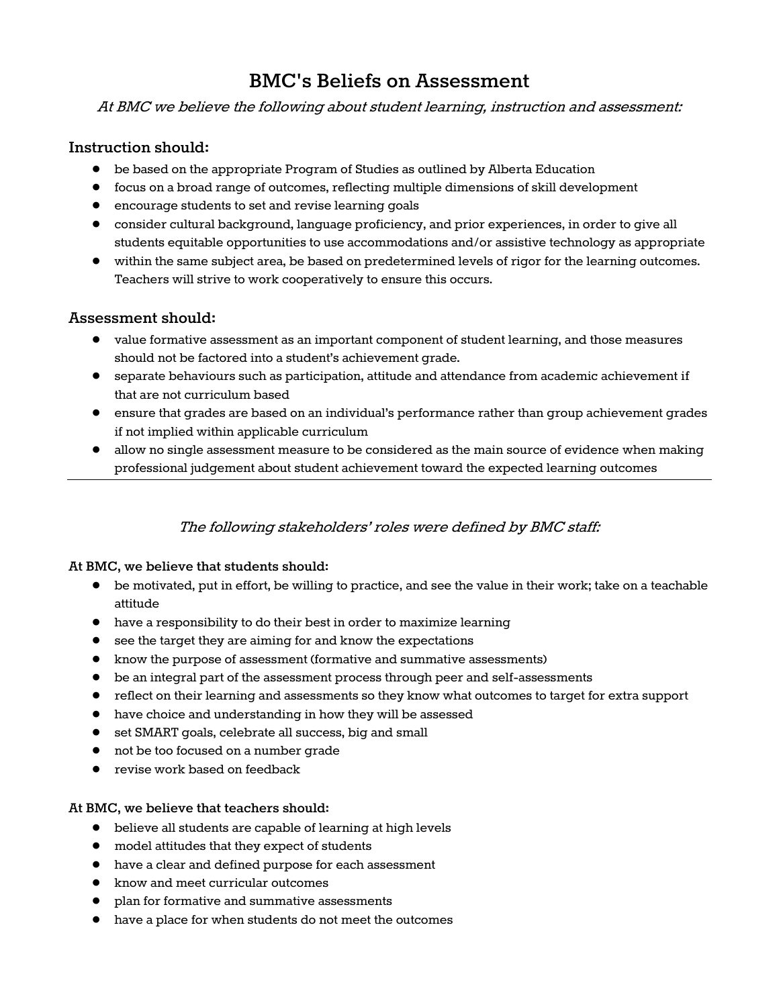# **BMC's Beliefs on Assessment**

At BMC we believe the following about student learning, instruction and assessment:

## **Instruction should:**

- be based on the appropriate Program of Studies as outlined by Alberta Education
- focus on a broad range of outcomes, reflecting multiple dimensions of skill development
- encourage students to set and revise learning goals
- consider cultural background, language proficiency, and prior experiences, in order to give all students equitable opportunities to use accommodations and/or assistive technology as appropriate
- within the same subject area, be based on predetermined levels of rigor for the learning outcomes. Teachers will strive to work cooperatively to ensure this occurs.

# **Assessment should:**

- value formative assessment as an important component of student learning, and those measures should not be factored into a student's achievement grade.
- separate behaviours such as participation, attitude and attendance from academic achievement if that are not curriculum based
- ensure that grades are based on an individual's performance rather than group achievement grades if not implied within applicable curriculum
- allow no single assessment measure to be considered as the main source of evidence when making professional judgement about student achievement toward the expected learning outcomes

# The following stakeholders' roles were defined by BMC staff:

### **At BMC, we believe that students should:**

- be motivated, put in effort, be willing to practice, and see the value in their work; take on a teachable attitude
- have a responsibility to do their best in order to maximize learning
- see the target they are aiming for and know the expectations
- know the purpose of assessment (formative and summative assessments)
- be an integral part of the assessment process through peer and self-assessments
- reflect on their learning and assessments so they know what outcomes to target for extra support
- have choice and understanding in how they will be assessed
- set SMART goals, celebrate all success, big and small
- not be too focused on a number grade
- revise work based on feedback

### **At BMC, we believe that teachers should:**

- believe all students are capable of learning at high levels
- model attitudes that they expect of students
- have a clear and defined purpose for each assessment
- know and meet curricular outcomes
- plan for formative and summative assessments
- have a place for when students do not meet the outcomes